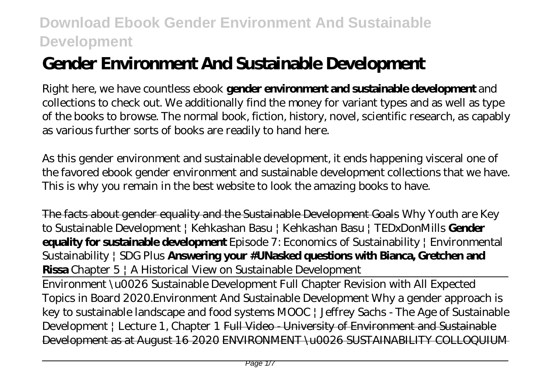# **Gender Environment And Sustainable Development**

Right here, we have countless ebook **gender environment and sustainable development** and collections to check out. We additionally find the money for variant types and as well as type of the books to browse. The normal book, fiction, history, novel, scientific research, as capably as various further sorts of books are readily to hand here.

As this gender environment and sustainable development, it ends happening visceral one of the favored ebook gender environment and sustainable development collections that we have. This is why you remain in the best website to look the amazing books to have.

The facts about gender equality and the Sustainable Development Goals *Why Youth are Key to Sustainable Development | Kehkashan Basu | Kehkashan Basu | TEDxDonMills* **Gender equality for sustainable development** *Episode 7: Economics of Sustainability | Environmental Sustainability | SDG Plus* **Answering your #UNasked questions with Bianca, Gretchen and Rissa** *Chapter 5 | A Historical View on Sustainable Development*

Environment \u0026 Sustainable Development Full Chapter Revision with All Expected Topics in Board 2020.*Environment And Sustainable Development* Why a gender approach is key to sustainable landscape and food systems *MOOC | Jeffrey Sachs - The Age of Sustainable Development | Lecture 1, Chapter 1* Full Video - University of Environment and Sustainable Development as at August 16 2020 ENVIRONMENT \u0026 SUSTAINABILITY COLLOQUIUM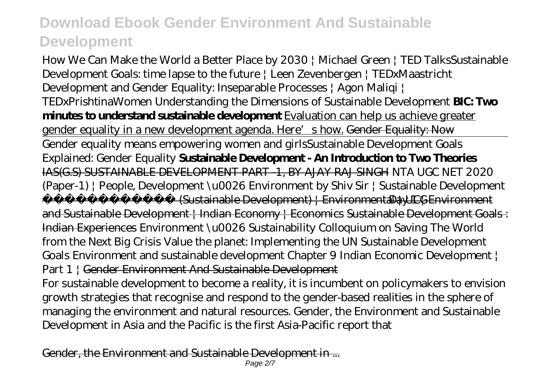How We Can Make the World a Better Place by 2030 | Michael Green | TED Talks*Sustainable Development Goals: time lapse to the future | Leen Zevenbergen | TEDxMaastricht Development and Gender Equality: Inseparable Processes | Agon Maliqi | TEDxPrishtinaWomen* Understanding the Dimensions of Sustainable Development **BIC: Two minutes to understand sustainable development** Evaluation can help us achieve greater gender equality in a new development agenda. Here's how. Gender Equality: Now Gender equality means empowering women and girls*Sustainable Development Goals Explained: Gender Equality* **Sustainable Development - An Introduction to Two Theories** IAS(G.S) SUSTAINABLE DEVELOPMENT PART -1, BY AJAY RAJ SINGH *NTA UGC NET 2020 (Paper-1) | People, Development \u0026 Environment by Shiv Sir | Sustainable Development*  $(Sustainable Development)$  | Environmental | UCG Day  $1$  | Environment

and Sustainable Development | Indian Economy | Economics Sustainable Development Goals : Indian Experiences *Environment \u0026 Sustainability Colloquium on Saving The World from the Next Big Crisis Value the planet: Implementing the UN Sustainable Development Goals Environment and sustainable development Chapter 9 Indian Economic Development | Part 1 |* Gender Environment And Sustainable Development

For sustainable development to become a reality, it is incumbent on policymakers to envision growth strategies that recognise and respond to the gender-based realities in the sphere of managing the environment and natural resources. Gender, the Environment and Sustainable Development in Asia and the Pacific is the first Asia-Pacific report that

Gender, the Environment and Sustainable Development in ...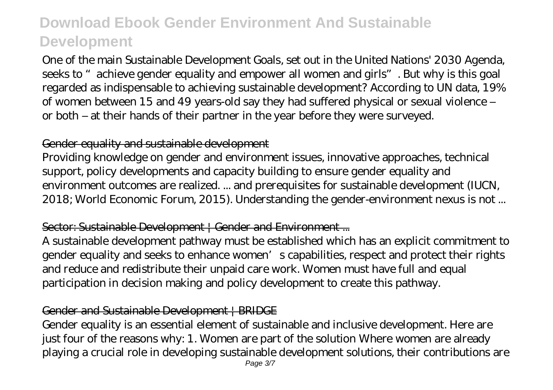One of the main Sustainable Development Goals, set out in the United Nations' 2030 Agenda, seeks to "achieve gender equality and empower all women and girls". But why is this goal regarded as indispensable to achieving sustainable development? According to UN data, 19% of women between 15 and 49 years-old say they had suffered physical or sexual violence – or both – at their hands of their partner in the year before they were surveyed.

### Gender equality and sustainable development

Providing knowledge on gender and environment issues, innovative approaches, technical support, policy developments and capacity building to ensure gender equality and environment outcomes are realized. ... and prerequisites for sustainable development (IUCN, 2018; World Economic Forum, 2015). Understanding the gender-environment nexus is not ...

### Sector: Sustainable Development | Gender and Environment ...

A sustainable development pathway must be established which has an explicit commitment to gender equality and seeks to enhance women's capabilities, respect and protect their rights and reduce and redistribute their unpaid care work. Women must have full and equal participation in decision making and policy development to create this pathway.

#### Gender and Sustainable Development | BRIDGE

Gender equality is an essential element of sustainable and inclusive development. Here are just four of the reasons why: 1. Women are part of the solution Where women are already playing a crucial role in developing sustainable development solutions, their contributions are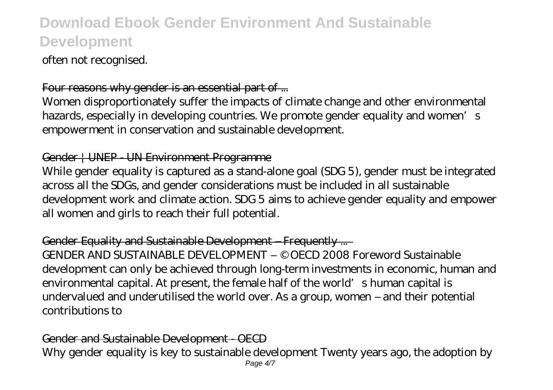often not recognised.

### Four reasons why gender is an essential part of ...

Women disproportionately suffer the impacts of climate change and other environmental hazards, especially in developing countries. We promote gender equality and women's empowerment in conservation and sustainable development.

#### Gender | UNEP - UN Environment Programme

While gender equality is captured as a stand-alone goal (SDG 5), gender must be integrated across all the SDGs, and gender considerations must be included in all sustainable development work and climate action. SDG 5 aims to achieve gender equality and empower all women and girls to reach their full potential.

### Gender Equality and Sustainable Development – Frequently ...

GENDER AND SUSTAINABLE DEVELOPMENT – © OECD 2008 Foreword Sustainable development can only be achieved through long-term investments in economic, human and environmental capital. At present, the female half of the world's human capital is undervalued and underutilised the world over. As a group, women – and their potential contributions to

#### Gender and Sustainable Development - OECD Why gender equality is key to sustainable development Twenty years ago, the adoption by Page  $4/7$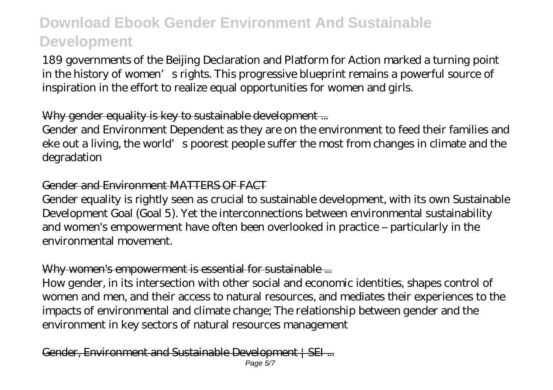189 governments of the Beijing Declaration and Platform for Action marked a turning point in the history of women's rights. This progressive blueprint remains a powerful source of inspiration in the effort to realize equal opportunities for women and girls.

### Why gender equality is key to sustainable development...

Gender and Environment Dependent as they are on the environment to feed their families and eke out a living, the world's poorest people suffer the most from changes in climate and the degradation

#### Gender and Environment MATTERS OF FACT

Gender equality is rightly seen as crucial to sustainable development, with its own Sustainable Development Goal (Goal 5). Yet the interconnections between environmental sustainability and women's empowerment have often been overlooked in practice – particularly in the environmental movement.

### Why women's empowerment is essential for sustainable ...

How gender, in its intersection with other social and economic identities, shapes control of women and men, and their access to natural resources, and mediates their experiences to the impacts of environmental and climate change; The relationship between gender and the environment in key sectors of natural resources management

Gender, Environment and Sustainable Development | SEI ...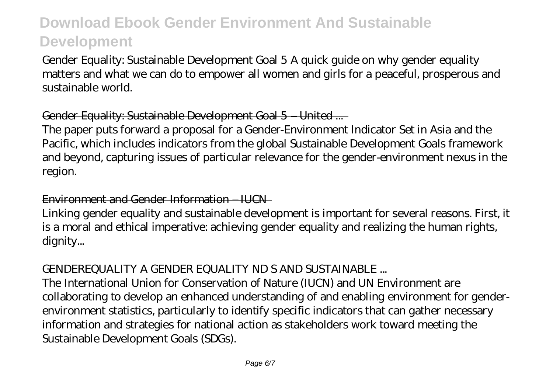Gender Equality: Sustainable Development Goal 5 A quick guide on why gender equality matters and what we can do to empower all women and girls for a peaceful, prosperous and sustainable world.

### Gender Equality: Sustainable Development Goal 5 – United ...

The paper puts forward a proposal for a Gender-Environment Indicator Set in Asia and the Pacific, which includes indicators from the global Sustainable Development Goals framework and beyond, capturing issues of particular relevance for the gender-environment nexus in the region.

#### Environment and Gender Information – IUCN

Linking gender equality and sustainable development is important for several reasons. First, it is a moral and ethical imperative: achieving gender equality and realizing the human rights, dignity...

#### GENDEREQUALITY A GENDER EQUALITY ND S AND SUSTAINABLE ...

The International Union for Conservation of Nature (IUCN) and UN Environment are collaborating to develop an enhanced understanding of and enabling environment for genderenvironment statistics, particularly to identify specific indicators that can gather necessary information and strategies for national action as stakeholders work toward meeting the Sustainable Development Goals (SDGs).